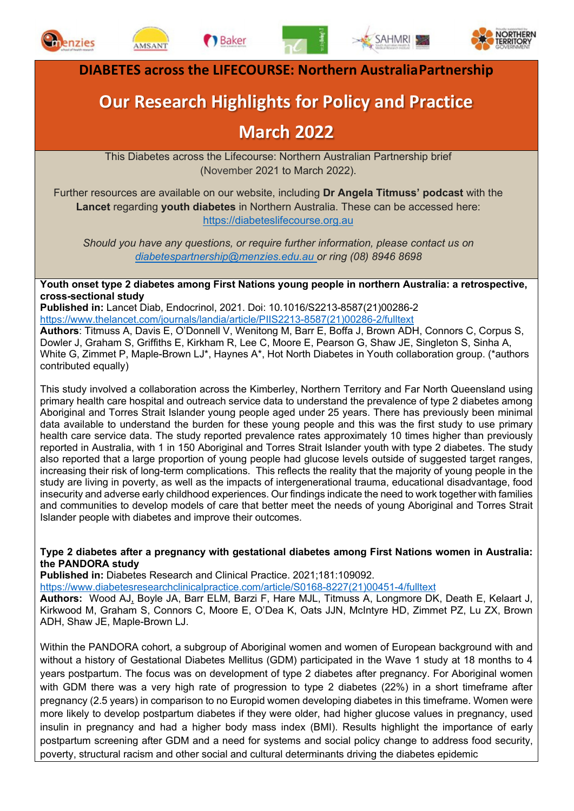



**Baker** 





**DIABETES across the LIFECOURSE: Northern AustraliaPartnership**

# **Our Research Highlights for Policy and Practice**

## **March 2022**

This Diabetes across the Lifecourse: Northern Australian Partnership brief (November 2021 to March 2022).

Further resources are available on our website, including **Dr Angela Titmuss' podcast** with the **Lancet** regarding **youth diabetes** in Northern Australia. These can be accessed here: [https://diabeteslifecourse.org.au](https://diabeteslifecourse.org.au/)

*Should you have any questions, or require further information, please contact us on [diabetespartnership@menzies.edu.au o](mailto:diabetespartnership@menzies.edu.au)r ring (08) 8946 8698*

**Youth onset type 2 diabetes among First Nations young people in northern Australia: a retrospective, cross-sectional study**

**Published in:** Lancet Diab, Endocrinol, 2021. Doi: 10.1016/S2213-8587(21)00286-2 [https://www.thelancet.com/journals/landia/article/PIIS2213-8587\(21\)00286-2/fulltext](https://www.thelancet.com/journals/landia/article/PIIS2213-8587(21)00286-2/fulltext)

**Authors**: Titmuss A, Davis E, O'Donnell V, Wenitong M, Barr E, Boffa J, Brown ADH, Connors C, Corpus S, Dowler J, Graham S, Griffiths E, Kirkham R, Lee C, Moore E, Pearson G, Shaw JE, Singleton S, Sinha A, White G, Zimmet P, Maple-Brown LJ\*, Haynes A\*, Hot North Diabetes in Youth collaboration group. (\*authors contributed equally)

This study involved a collaboration across the Kimberley, Northern Territory and Far North Queensland using primary health care hospital and outreach service data to understand the prevalence of type 2 diabetes among Aboriginal and Torres Strait Islander young people aged under 25 years. There has previously been minimal data available to understand the burden for these young people and this was the first study to use primary health care service data. The study reported prevalence rates approximately 10 times higher than previously reported in Australia, with 1 in 150 Aboriginal and Torres Strait Islander youth with type 2 diabetes. The study also reported that a large proportion of young people had glucose levels outside of suggested target ranges, increasing their risk of long-term complications. This reflects the reality that the majority of young people in the study are living in poverty, as well as the impacts of intergenerational trauma, educational disadvantage, food insecurity and adverse early childhood experiences. Our findings indicate the need to work together with families and communities to develop models of care that better meet the needs of young Aboriginal and Torres Strait Islander people with diabetes and improve their outcomes.

#### **Type 2 diabetes after a pregnancy with gestational diabetes among First Nations women in Australia: the PANDORA study**

**Published in:** Diabetes Research and Clinical Practice. 2021;181:109092.

[https://www.diabetesresearchclinicalpractice.com/article/S0168-8227\(21\)00451-4/fulltext](https://www.diabetesresearchclinicalpractice.com/article/S0168-8227(21)00451-4/fulltext)

**Authors:** Wood AJ, Boyle JA, Barr ELM, Barzi F, Hare MJL, Titmuss A, Longmore DK, Death E, Kelaart J, Kirkwood M, Graham S, Connors C, Moore E, O'Dea K, Oats JJN, McIntyre HD, Zimmet PZ, Lu ZX, Brown ADH, Shaw JE, Maple-Brown LJ.

Within the PANDORA cohort, a subgroup of Aboriginal women and women of European background with and without a history of Gestational Diabetes Mellitus (GDM) participated in the Wave 1 study at 18 months to 4 years postpartum. The focus was on development of type 2 diabetes after pregnancy. For Aboriginal women with GDM there was a very high rate of progression to type 2 diabetes (22%) in a short timeframe after pregnancy (2.5 years) in comparison to no Europid women developing diabetes in this timeframe. Women were more likely to develop postpartum diabetes if they were older, had higher glucose values in pregnancy, used insulin in pregnancy and had a higher body mass index (BMI). Results highlight the importance of early postpartum screening after GDM and a need for systems and social policy change to address food security, poverty, structural racism and other social and cultural determinants driving the diabetes epidemic